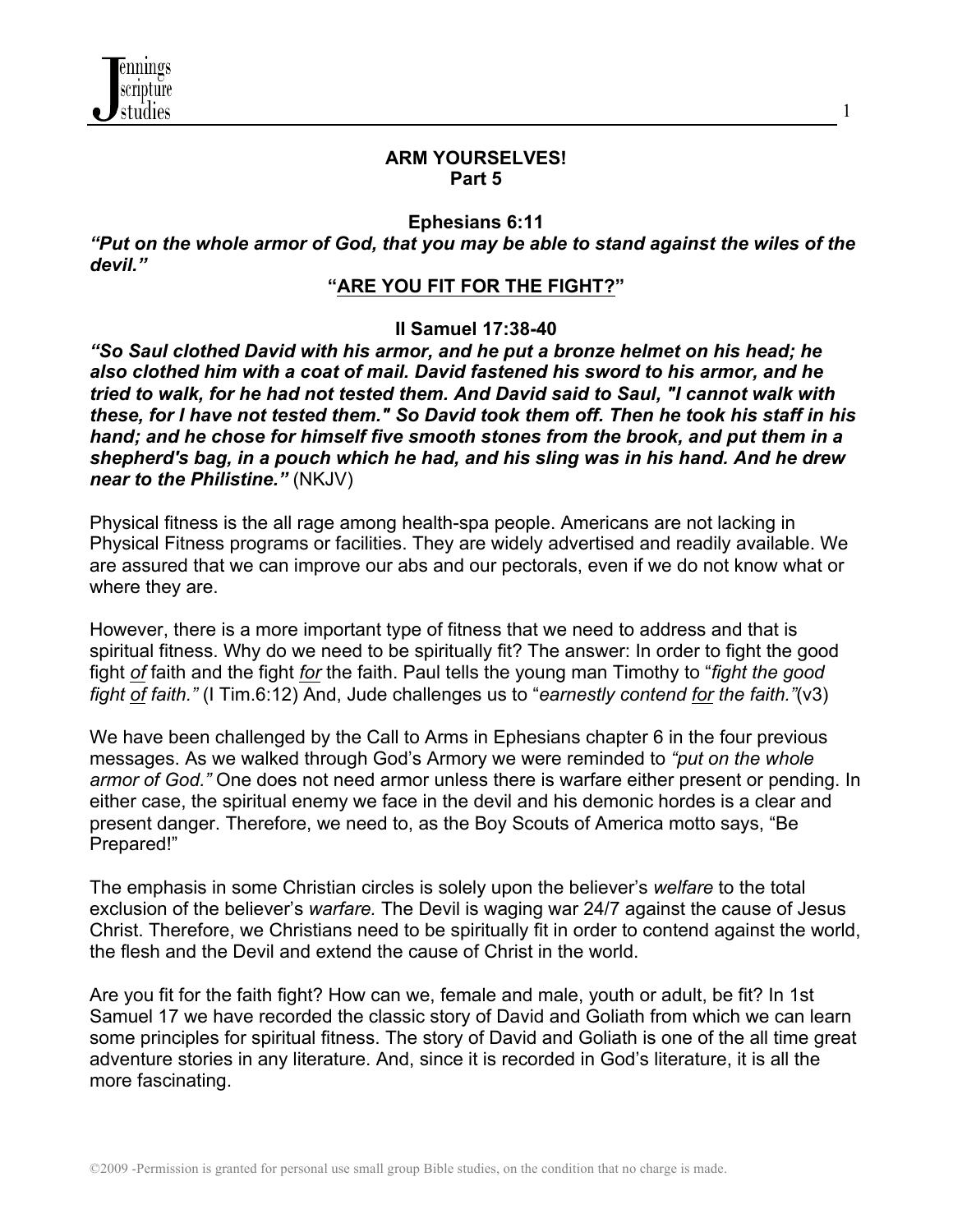

#### **ARM YOURSELVES! Part 5**

1

#### **Ephesians 6:11**

*"Put on the whole armor of God, that you may be able to stand against the wiles of the devil."*

#### **"ARE YOU FIT FOR THE FIGHT?"**

#### **II Samuel 17:38-40**

*"So Saul clothed David with his armor, and he put a bronze helmet on his head; he also clothed him with a coat of mail. David fastened his sword to his armor, and he tried to walk, for he had not tested them. And David said to Saul, "I cannot walk with these, for I have not tested them." So David took them off. Then he took his staff in his hand; and he chose for himself five smooth stones from the brook, and put them in a shepherd's bag, in a pouch which he had, and his sling was in his hand. And he drew near to the Philistine."* (NKJV)

Physical fitness is the all rage among health-spa people. Americans are not lacking in Physical Fitness programs or facilities. They are widely advertised and readily available. We are assured that we can improve our abs and our pectorals, even if we do not know what or where they are.

However, there is a more important type of fitness that we need to address and that is spiritual fitness. Why do we need to be spiritually fit? The answer: In order to fight the good fight *of* faith and the fight *for* the faith. Paul tells the young man Timothy to "*fight the good fight of faith."* (I Tim.6:12) And, Jude challenges us to "*earnestly contend for the faith."*(v3)

We have been challenged by the Call to Arms in Ephesians chapter 6 in the four previous messages. As we walked through God's Armory we were reminded to *"put on the whole armor of God."* One does not need armor unless there is warfare either present or pending. In either case, the spiritual enemy we face in the devil and his demonic hordes is a clear and present danger. Therefore, we need to, as the Boy Scouts of America motto says, "Be Prepared!"

The emphasis in some Christian circles is solely upon the believer's *welfare* to the total exclusion of the believer's *warfare.* The Devil is waging war 24/7 against the cause of Jesus Christ. Therefore, we Christians need to be spiritually fit in order to contend against the world, the flesh and the Devil and extend the cause of Christ in the world.

Are you fit for the faith fight? How can we, female and male, youth or adult, be fit? In 1st Samuel 17 we have recorded the classic story of David and Goliath from which we can learn some principles for spiritual fitness. The story of David and Goliath is one of the all time great adventure stories in any literature. And, since it is recorded in God's literature, it is all the more fascinating.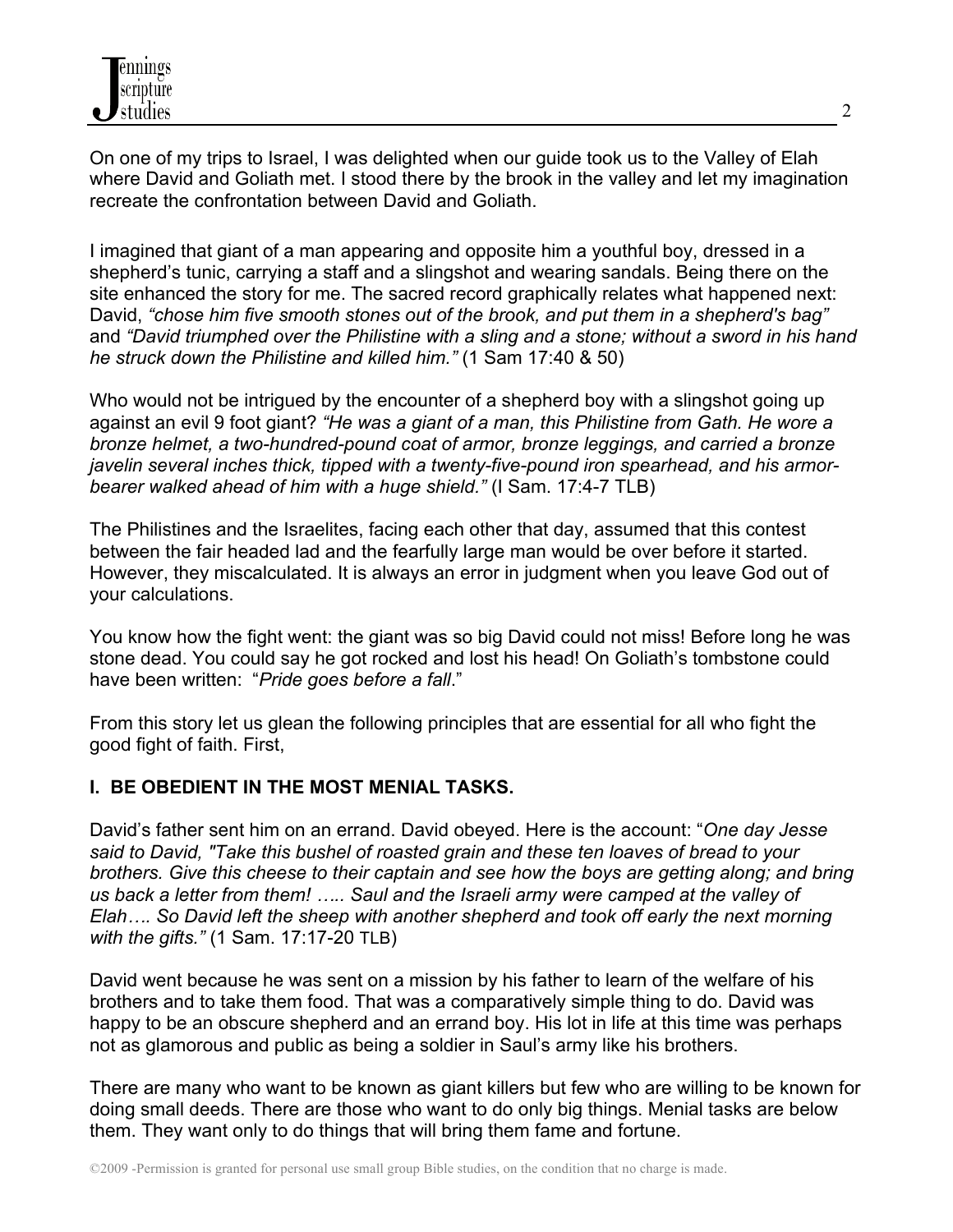On one of my trips to Israel, I was delighted when our guide took us to the Valley of Elah where David and Goliath met. I stood there by the brook in the valley and let my imagination recreate the confrontation between David and Goliath.

I imagined that giant of a man appearing and opposite him a youthful boy, dressed in a shepherd's tunic, carrying a staff and a slingshot and wearing sandals. Being there on the site enhanced the story for me. The sacred record graphically relates what happened next: David, *"chose him five smooth stones out of the brook, and put them in a shepherd's bag"* and *"David triumphed over the Philistine with a sling and a stone; without a sword in his hand he struck down the Philistine and killed him."* (1 Sam 17:40 & 50)

Who would not be intrigued by the encounter of a shepherd boy with a slingshot going up against an evil 9 foot giant? *"He was a giant of a man, this Philistine from Gath. He wore a bronze helmet, a two-hundred-pound coat of armor, bronze leggings, and carried a bronze javelin several inches thick, tipped with a twenty-five-pound iron spearhead, and his armorbearer walked ahead of him with a huge shield."* (I Sam. 17:4-7 TLB)

The Philistines and the Israelites, facing each other that day, assumed that this contest between the fair headed lad and the fearfully large man would be over before it started. However, they miscalculated. It is always an error in judgment when you leave God out of your calculations.

You know how the fight went: the giant was so big David could not miss! Before long he was stone dead. You could say he got rocked and lost his head! On Goliath's tombstone could have been written: "*Pride goes before a fall*."

From this story let us glean the following principles that are essential for all who fight the good fight of faith. First,

## **I. BE OBEDIENT IN THE MOST MENIAL TASKS.**

David's father sent him on an errand. David obeyed. Here is the account: "*One day Jesse said to David, "Take this bushel of roasted grain and these ten loaves of bread to your brothers. Give this cheese to their captain and see how the boys are getting along; and bring us back a letter from them! ….. Saul and the Israeli army were camped at the valley of Elah…. So David left the sheep with another shepherd and took off early the next morning with the gifts."* (1 Sam. 17:17-20 TLB)

David went because he was sent on a mission by his father to learn of the welfare of his brothers and to take them food. That was a comparatively simple thing to do. David was happy to be an obscure shepherd and an errand boy. His lot in life at this time was perhaps not as glamorous and public as being a soldier in Saul's army like his brothers.

There are many who want to be known as giant killers but few who are willing to be known for doing small deeds. There are those who want to do only big things. Menial tasks are below them. They want only to do things that will bring them fame and fortune.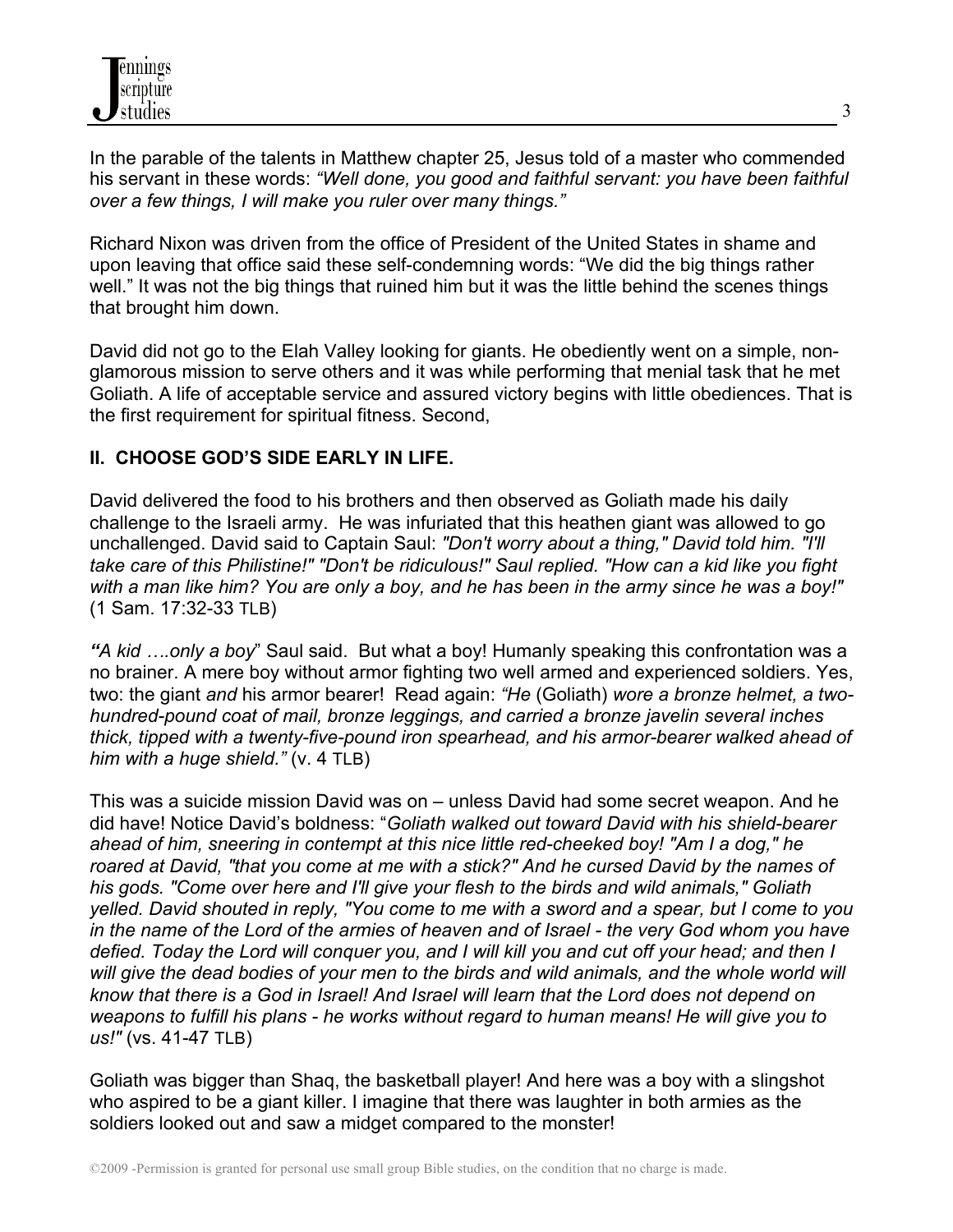In the parable of the talents in Matthew chapter 25, Jesus told of a master who commended his servant in these words: *"Well done, you good and faithful servant: you have been faithful over a few things, I will make you ruler over many things."*

Richard Nixon was driven from the office of President of the United States in shame and upon leaving that office said these self-condemning words: "We did the big things rather well." It was not the big things that ruined him but it was the little behind the scenes things that brought him down.

David did not go to the Elah Valley looking for giants. He obediently went on a simple, nonglamorous mission to serve others and it was while performing that menial task that he met Goliath. A life of acceptable service and assured victory begins with little obediences. That is the first requirement for spiritual fitness. Second,

# **II. CHOOSE GOD'S SIDE EARLY IN LIFE.**

David delivered the food to his brothers and then observed as Goliath made his daily challenge to the Israeli army. He was infuriated that this heathen giant was allowed to go unchallenged. David said to Captain Saul: *"Don't worry about a thing," David told him. "I'll take care of this Philistine!" "Don't be ridiculous!" Saul replied. "How can a kid like you fight with a man like him? You are only a boy, and he has been in the army since he was a boy!"*  (1 Sam. 17:32-33 TLB)

*"A kid ….only a boy*" Saul said. But what a boy! Humanly speaking this confrontation was a no brainer. A mere boy without armor fighting two well armed and experienced soldiers. Yes, two: the giant *and* his armor bearer! Read again: *"He* (Goliath) *wore a bronze helmet, a twohundred-pound coat of mail, bronze leggings, and carried a bronze javelin several inches thick, tipped with a twenty-five-pound iron spearhead, and his armor-bearer walked ahead of him with a huge shield."* (v. 4 TLB)

This was a suicide mission David was on – unless David had some secret weapon. And he did have! Notice David's boldness: "*Goliath walked out toward David with his shield-bearer ahead of him, sneering in contempt at this nice little red-cheeked boy! "Am I a dog," he roared at David, "that you come at me with a stick?" And he cursed David by the names of his gods. "Come over here and I'll give your flesh to the birds and wild animals," Goliath yelled. David shouted in reply, "You come to me with a sword and a spear, but I come to you in the name of the Lord of the armies of heaven and of Israel - the very God whom you have defied. Today the Lord will conquer you, and I will kill you and cut off your head; and then I*  will give the dead bodies of your men to the birds and wild animals, and the whole world will *know that there is a God in Israel! And Israel will learn that the Lord does not depend on weapons to fulfill his plans - he works without regard to human means! He will give you to us!"* (vs. 41-47 TLB)

Goliath was bigger than Shaq, the basketball player! And here was a boy with a slingshot who aspired to be a giant killer. I imagine that there was laughter in both armies as the soldiers looked out and saw a midget compared to the monster!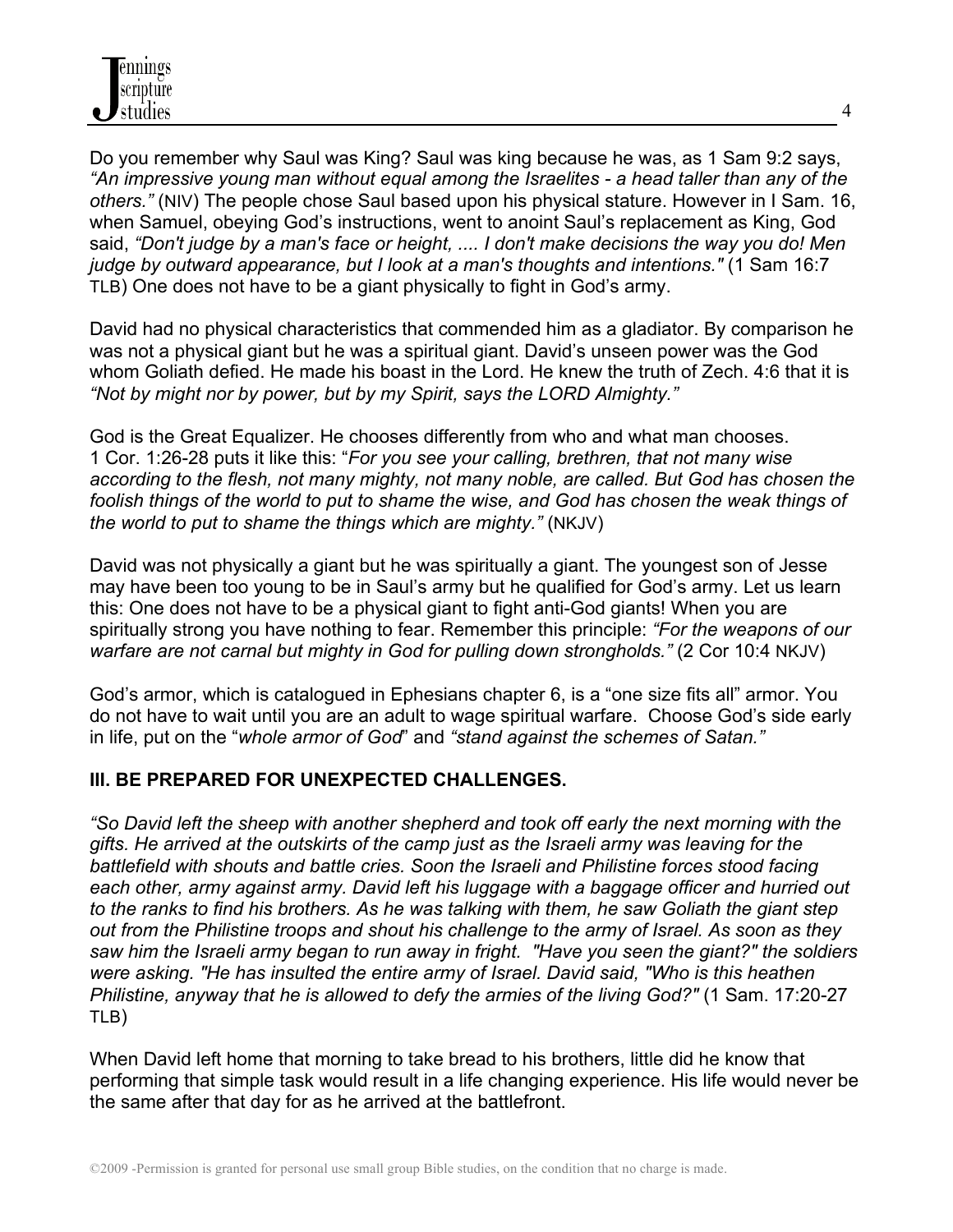Do you remember why Saul was King? Saul was king because he was, as 1 Sam 9:2 says, *"An impressive young man without equal among the Israelites - a head taller than any of the others."* (NIV) The people chose Saul based upon his physical stature. However in I Sam. 16, when Samuel, obeying God's instructions, went to anoint Saul's replacement as King, God said, *"Don't judge by a man's face or height, .... I don't make decisions the way you do! Men judge by outward appearance, but I look at a man's thoughts and intentions."* (1 Sam 16:7 TLB) One does not have to be a giant physically to fight in God's army.

David had no physical characteristics that commended him as a gladiator. By comparison he was not a physical giant but he was a spiritual giant. David's unseen power was the God whom Goliath defied. He made his boast in the Lord. He knew the truth of Zech. 4:6 that it is *"Not by might nor by power, but by my Spirit, says the LORD Almighty."*

God is the Great Equalizer. He chooses differently from who and what man chooses. 1 Cor. 1:26-28 puts it like this: "*For you see your calling, brethren, that not many wise according to the flesh, not many mighty, not many noble, are called. But God has chosen the*  foolish things of the world to put to shame the wise, and God has chosen the weak things of *the world to put to shame the things which are mighty."* (NKJV)

David was not physically a giant but he was spiritually a giant. The youngest son of Jesse may have been too young to be in Saul's army but he qualified for God's army. Let us learn this: One does not have to be a physical giant to fight anti-God giants! When you are spiritually strong you have nothing to fear. Remember this principle: *"For the weapons of our warfare are not carnal but mighty in God for pulling down strongholds."* (2 Cor 10:4 NKJV)

God's armor, which is catalogued in Ephesians chapter 6, is a "one size fits all" armor. You do not have to wait until you are an adult to wage spiritual warfare. Choose God's side early in life, put on the "*whole armor of God*" and *"stand against the schemes of Satan."* 

## **III. BE PREPARED FOR UNEXPECTED CHALLENGES.**

*"So David left the sheep with another shepherd and took off early the next morning with the gifts. He arrived at the outskirts of the camp just as the Israeli army was leaving for the battlefield with shouts and battle cries. Soon the Israeli and Philistine forces stood facing each other, army against army. David left his luggage with a baggage officer and hurried out to the ranks to find his brothers. As he was talking with them, he saw Goliath the giant step out from the Philistine troops and shout his challenge to the army of Israel. As soon as they saw him the Israeli army began to run away in fright. "Have you seen the giant?" the soldiers were asking. "He has insulted the entire army of Israel. David said, "Who is this heathen Philistine, anyway that he is allowed to defy the armies of the living God?"* (1 Sam. 17:20-27 TLB)

When David left home that morning to take bread to his brothers, little did he know that performing that simple task would result in a life changing experience. His life would never be the same after that day for as he arrived at the battlefront.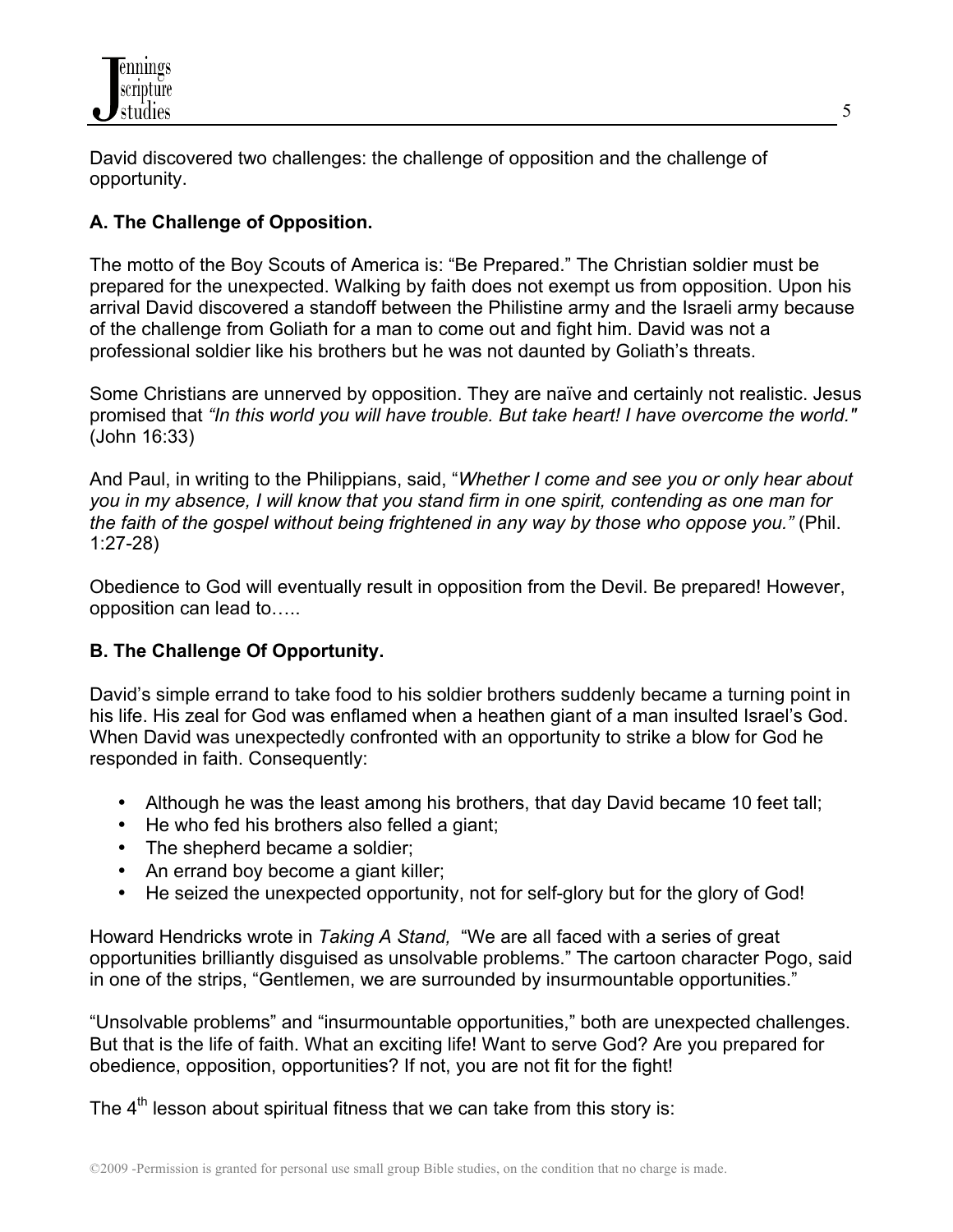

David discovered two challenges: the challenge of opposition and the challenge of opportunity.

# **A. The Challenge of Opposition.**

The motto of the Boy Scouts of America is: "Be Prepared." The Christian soldier must be prepared for the unexpected. Walking by faith does not exempt us from opposition. Upon his arrival David discovered a standoff between the Philistine army and the Israeli army because of the challenge from Goliath for a man to come out and fight him. David was not a professional soldier like his brothers but he was not daunted by Goliath's threats.

Some Christians are unnerved by opposition. They are naïve and certainly not realistic. Jesus promised that *"In this world you will have trouble. But take heart! I have overcome the world."* (John 16:33)

And Paul, in writing to the Philippians, said, "*Whether I come and see you or only hear about you in my absence, I will know that you stand firm in one spirit, contending as one man for the faith of the gospel without being frightened in any way by those who oppose you."* (Phil. 1:27-28)

Obedience to God will eventually result in opposition from the Devil. Be prepared! However, opposition can lead to…..

## **B. The Challenge Of Opportunity.**

David's simple errand to take food to his soldier brothers suddenly became a turning point in his life. His zeal for God was enflamed when a heathen giant of a man insulted Israel's God. When David was unexpectedly confronted with an opportunity to strike a blow for God he responded in faith. Consequently:

- Although he was the least among his brothers, that day David became 10 feet tall;
- He who fed his brothers also felled a giant:
- The shepherd became a soldier;
- An errand boy become a giant killer;
- He seized the unexpected opportunity, not for self-glory but for the glory of God!

Howard Hendricks wrote in *Taking A Stand,* "We are all faced with a series of great opportunities brilliantly disguised as unsolvable problems." The cartoon character Pogo, said in one of the strips, "Gentlemen, we are surrounded by insurmountable opportunities."

"Unsolvable problems" and "insurmountable opportunities," both are unexpected challenges. But that is the life of faith. What an exciting life! Want to serve God? Are you prepared for obedience, opposition, opportunities? If not, you are not fit for the fight!

The  $4<sup>th</sup>$  lesson about spiritual fitness that we can take from this story is: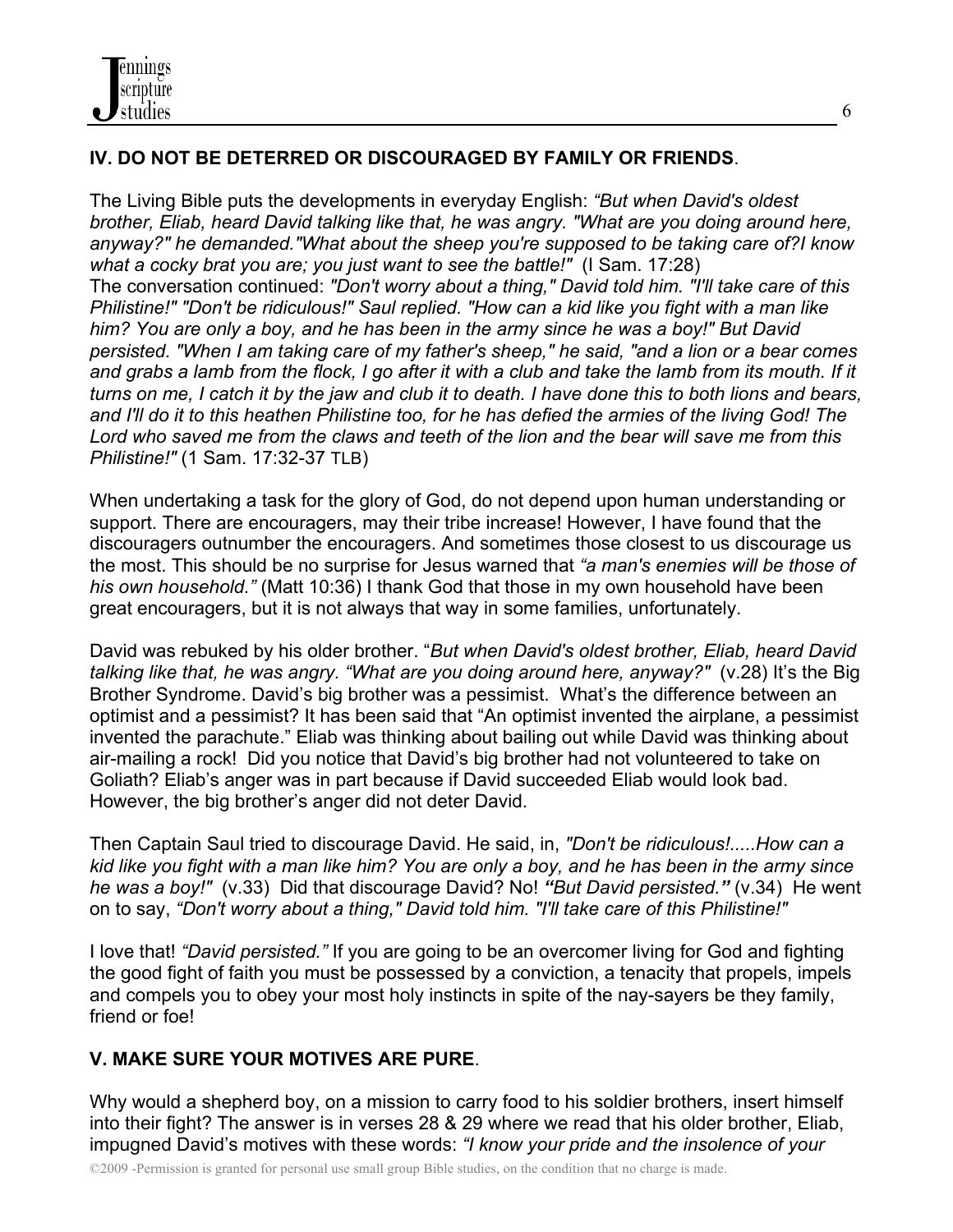# **IV. DO NOT BE DETERRED OR DISCOURAGED BY FAMILY OR FRIENDS**.

The Living Bible puts the developments in everyday English: *"But when David's oldest brother, Eliab, heard David talking like that, he was angry. "What are you doing around here, anyway?" he demanded."What about the sheep you're supposed to be taking care of?I know what a cocky brat you are; you just want to see the battle!"* (I Sam. 17:28) The conversation continued: *"Don't worry about a thing," David told him. "I'll take care of this Philistine!" "Don't be ridiculous!" Saul replied. "How can a kid like you fight with a man like him? You are only a boy, and he has been in the army since he was a boy!" But David persisted. "When I am taking care of my father's sheep," he said, "and a lion or a bear comes and grabs a lamb from the flock, I go after it with a club and take the lamb from its mouth. If it turns on me, I catch it by the jaw and club it to death. I have done this to both lions and bears, and I'll do it to this heathen Philistine too, for he has defied the armies of the living God! The Lord who saved me from the claws and teeth of the lion and the bear will save me from this Philistine!"* (1 Sam. 17:32-37 TLB)

When undertaking a task for the glory of God, do not depend upon human understanding or support. There are encouragers, may their tribe increase! However, I have found that the discouragers outnumber the encouragers. And sometimes those closest to us discourage us the most. This should be no surprise for Jesus warned that *"a man's enemies will be those of his own household."* (Matt 10:36) I thank God that those in my own household have been great encouragers, but it is not always that way in some families, unfortunately.

David was rebuked by his older brother. "*But when David's oldest brother, Eliab, heard David talking like that, he was angry. "What are you doing around here, anyway?"* (v.28) It's the Big Brother Syndrome. David's big brother was a pessimist. What's the difference between an optimist and a pessimist? It has been said that "An optimist invented the airplane, a pessimist invented the parachute." Eliab was thinking about bailing out while David was thinking about air-mailing a rock! Did you notice that David's big brother had not volunteered to take on Goliath? Eliab's anger was in part because if David succeeded Eliab would look bad. However, the big brother's anger did not deter David.

Then Captain Saul tried to discourage David. He said, in, *"Don't be ridiculous!.....How can a kid like you fight with a man like him? You are only a boy, and he has been in the army since he was a boy!"* (v.33)Did that discourage David? No! *"But David persisted."* (v.34)He went on to say, *"Don't worry about a thing," David told him. "I'll take care of this Philistine!"* 

I love that! *"David persisted."* If you are going to be an overcomer living for God and fighting the good fight of faith you must be possessed by a conviction, a tenacity that propels, impels and compels you to obey your most holy instincts in spite of the nay-sayers be they family, friend or foe!

# **V. MAKE SURE YOUR MOTIVES ARE PURE**.

Why would a shepherd boy, on a mission to carry food to his soldier brothers, insert himself into their fight? The answer is in verses 28 & 29 where we read that his older brother, Eliab, impugned David's motives with these words: *"I know your pride and the insolence of your*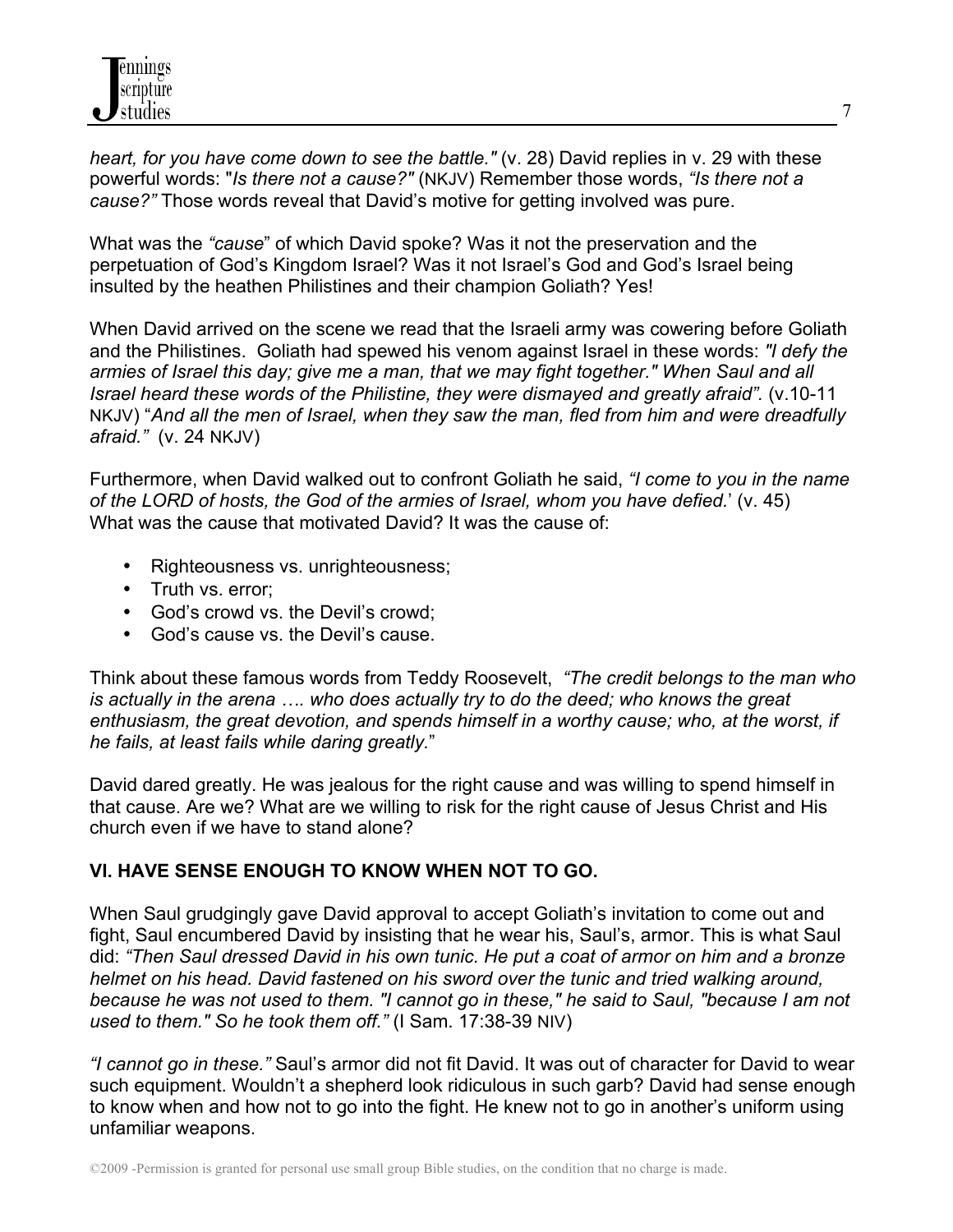*heart, for you have come down to see the battle."* (v. 28) David replies in v. 29 with these powerful words: "*Is there not a cause?"* (NKJV) Remember those words, *"Is there not a cause?"* Those words reveal that David's motive for getting involved was pure.

What was the *"cause*" of which David spoke? Was it not the preservation and the perpetuation of God's Kingdom Israel? Was it not Israel's God and God's Israel being insulted by the heathen Philistines and their champion Goliath? Yes!

When David arrived on the scene we read that the Israeli army was cowering before Goliath and the Philistines. Goliath had spewed his venom against Israel in these words: *"I defy the armies of Israel this day; give me a man, that we may fight together." When Saul and all Israel heard these words of the Philistine, they were dismayed and greatly afraid".* (v.10-11 NKJV) "*And all the men of Israel, when they saw the man, fled from him and were dreadfully afraid."* (v. 24 NKJV)

Furthermore, when David walked out to confront Goliath he said, *"I come to you in the name of the LORD of hosts, the God of the armies of Israel, whom you have defied.*' (v. 45) What was the cause that motivated David? It was the cause of:

- Righteousness vs. unrighteousness;
- Truth vs. error;
- God's crowd vs. the Devil's crowd:
- God's cause vs. the Devil's cause.

Think about these famous words from Teddy Roosevelt, *"The credit belongs to the man who is actually in the arena …. who does actually try to do the deed; who knows the great enthusiasm, the great devotion, and spends himself in a worthy cause; who, at the worst, if he fails, at least fails while daring greatly.*"

David dared greatly. He was jealous for the right cause and was willing to spend himself in that cause. Are we? What are we willing to risk for the right cause of Jesus Christ and His church even if we have to stand alone?

# **VI. HAVE SENSE ENOUGH TO KNOW WHEN NOT TO GO.**

When Saul grudgingly gave David approval to accept Goliath's invitation to come out and fight, Saul encumbered David by insisting that he wear his, Saul's, armor. This is what Saul did: *"Then Saul dressed David in his own tunic. He put a coat of armor on him and a bronze helmet on his head. David fastened on his sword over the tunic and tried walking around, because he was not used to them. "I cannot go in these," he said to Saul, "because I am not used to them." So he took them off."* (I Sam. 17:38-39 NIV)

*"I cannot go in these."* Saul's armor did not fit David. It was out of character for David to wear such equipment. Wouldn't a shepherd look ridiculous in such garb? David had sense enough to know when and how not to go into the fight. He knew not to go in another's uniform using unfamiliar weapons.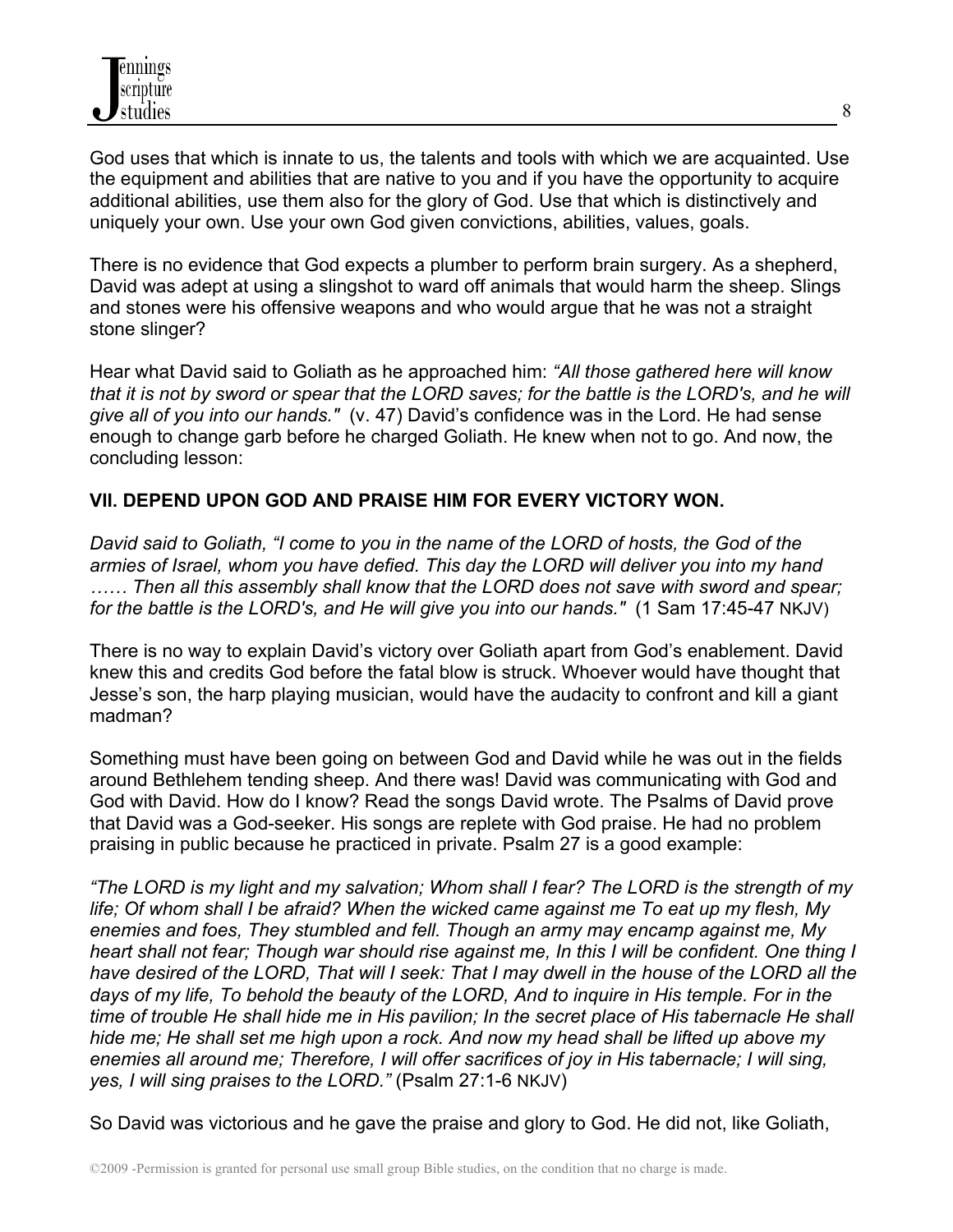God uses that which is innate to us, the talents and tools with which we are acquainted. Use the equipment and abilities that are native to you and if you have the opportunity to acquire additional abilities, use them also for the glory of God. Use that which is distinctively and uniquely your own. Use your own God given convictions, abilities, values, goals.

There is no evidence that God expects a plumber to perform brain surgery. As a shepherd, David was adept at using a slingshot to ward off animals that would harm the sheep. Slings and stones were his offensive weapons and who would argue that he was not a straight stone slinger?

Hear what David said to Goliath as he approached him: *"All those gathered here will know that it is not by sword or spear that the LORD saves; for the battle is the LORD's, and he will give all of you into our hands."* (v. 47) David's confidence was in the Lord. He had sense enough to change garb before he charged Goliath. He knew when not to go. And now, the concluding lesson:

## **VII. DEPEND UPON GOD AND PRAISE HIM FOR EVERY VICTORY WON.**

*David said to Goliath, "I come to you in the name of the LORD of hosts, the God of the armies of Israel, whom you have defied. This day the LORD will deliver you into my hand …… Then all this assembly shall know that the LORD does not save with sword and spear; for the battle is the LORD's, and He will give you into our hands."* (1 Sam 17:45-47 NKJV)

There is no way to explain David's victory over Goliath apart from God's enablement. David knew this and credits God before the fatal blow is struck. Whoever would have thought that Jesse's son, the harp playing musician, would have the audacity to confront and kill a giant madman?

Something must have been going on between God and David while he was out in the fields around Bethlehem tending sheep. And there was! David was communicating with God and God with David. How do I know? Read the songs David wrote. The Psalms of David prove that David was a God-seeker. His songs are replete with God praise. He had no problem praising in public because he practiced in private. Psalm 27 is a good example:

*"The LORD is my light and my salvation; Whom shall I fear? The LORD is the strength of my life; Of whom shall I be afraid? When the wicked came against me To eat up my flesh, My enemies and foes, They stumbled and fell. Though an army may encamp against me, My heart shall not fear; Though war should rise against me, In this I will be confident. One thing I have desired of the LORD, That will I seek: That I may dwell in the house of the LORD all the days of my life, To behold the beauty of the LORD, And to inquire in His temple. For in the time of trouble He shall hide me in His pavilion; In the secret place of His tabernacle He shall hide me; He shall set me high upon a rock. And now my head shall be lifted up above my enemies all around me; Therefore, I will offer sacrifices of joy in His tabernacle; I will sing, yes, I will sing praises to the LORD."* (Psalm 27:1-6 NKJV)

So David was victorious and he gave the praise and glory to God. He did not, like Goliath,